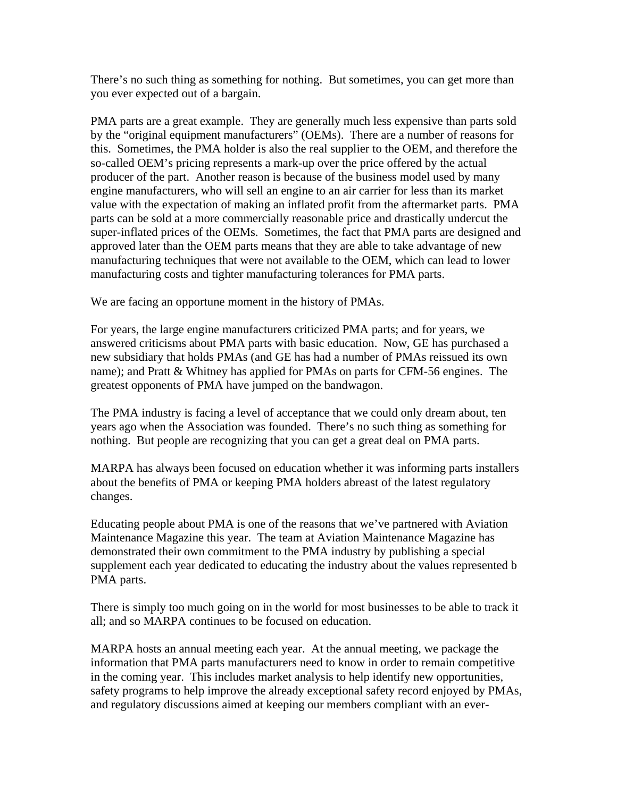There's no such thing as something for nothing. But sometimes, you can get more than you ever expected out of a bargain.

PMA parts are a great example. They are generally much less expensive than parts sold by the "original equipment manufacturers" (OEMs). There are a number of reasons for this. Sometimes, the PMA holder is also the real supplier to the OEM, and therefore the so-called OEM's pricing represents a mark-up over the price offered by the actual producer of the part. Another reason is because of the business model used by many engine manufacturers, who will sell an engine to an air carrier for less than its market value with the expectation of making an inflated profit from the aftermarket parts. PMA parts can be sold at a more commercially reasonable price and drastically undercut the super-inflated prices of the OEMs. Sometimes, the fact that PMA parts are designed and approved later than the OEM parts means that they are able to take advantage of new manufacturing techniques that were not available to the OEM, which can lead to lower manufacturing costs and tighter manufacturing tolerances for PMA parts.

We are facing an opportune moment in the history of PMAs.

For years, the large engine manufacturers criticized PMA parts; and for years, we answered criticisms about PMA parts with basic education. Now, GE has purchased a new subsidiary that holds PMAs (and GE has had a number of PMAs reissued its own name); and Pratt & Whitney has applied for PMAs on parts for CFM-56 engines. The greatest opponents of PMA have jumped on the bandwagon.

The PMA industry is facing a level of acceptance that we could only dream about, ten years ago when the Association was founded. There's no such thing as something for nothing. But people are recognizing that you can get a great deal on PMA parts.

MARPA has always been focused on education whether it was informing parts installers about the benefits of PMA or keeping PMA holders abreast of the latest regulatory changes.

Educating people about PMA is one of the reasons that we've partnered with Aviation Maintenance Magazine this year. The team at Aviation Maintenance Magazine has demonstrated their own commitment to the PMA industry by publishing a special supplement each year dedicated to educating the industry about the values represented b PMA parts.

There is simply too much going on in the world for most businesses to be able to track it all; and so MARPA continues to be focused on education.

MARPA hosts an annual meeting each year. At the annual meeting, we package the information that PMA parts manufacturers need to know in order to remain competitive in the coming year. This includes market analysis to help identify new opportunities, safety programs to help improve the already exceptional safety record enjoyed by PMAs, and regulatory discussions aimed at keeping our members compliant with an ever